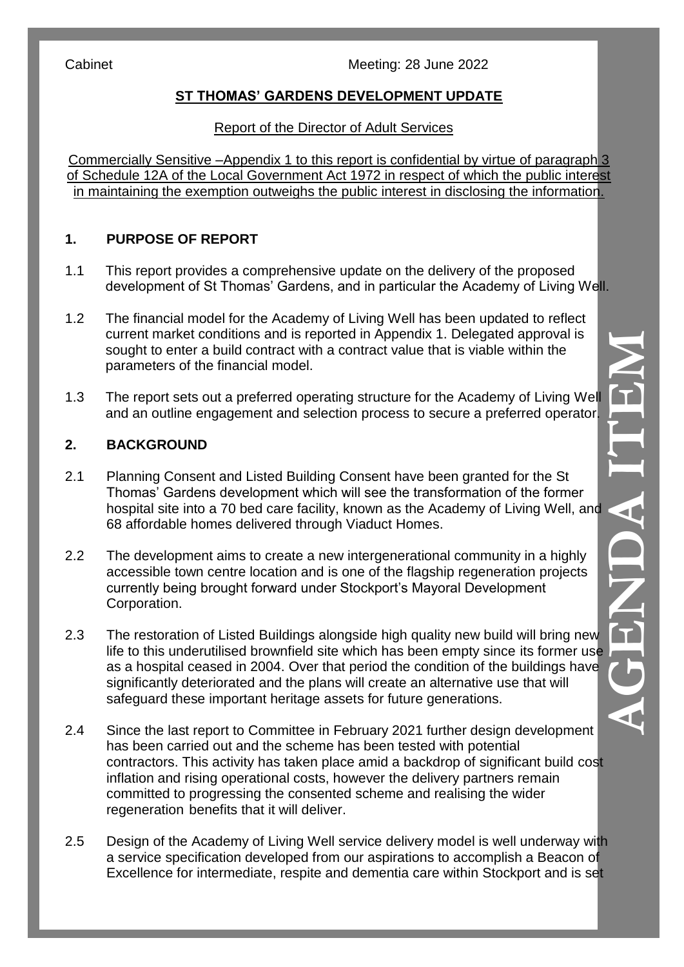Cabinet Cabinet Cabinet Meeting: 28 June 2022

# **ST THOMAS' GARDENS DEVELOPMENT UPDATE**

#### Report of the Director of Adult Services

Commercially Sensitive – Appendix 1 to this report is confidential by virtue of paragraph 3 of Schedule 12A of the Local Government Act 1972 in respect of which the public interest in maintaining the exemption outweighs the public interest in disclosing the information.

# **1. PURPOSE OF REPORT**

- 1.1 This report provides a comprehensive update on the delivery of the proposed development of St Thomas' Gardens, and in particular the Academy of Living Well.
- 1.2 The financial model for the Academy of Living Well has been updated to reflect current market conditions and is reported in Appendix 1. Delegated approval is sought to enter a build contract with a contract value that is viable within the parameters of the financial model.
- 1.3 The report sets out a preferred operating structure for the Academy of Living Well and an outline engagement and selection process to secure a preferred operator.

### **2. BACKGROUND**

- 2.1 Planning Consent and Listed Building Consent have been granted for the St Thomas' Gardens development which will see the transformation of the former hospital site into a 70 bed care facility, known as the Academy of Living Well, and 68 affordable homes delivered through Viaduct Homes.
- 2.2 The development aims to create a new intergenerational community in a highly accessible town centre location and is one of the flagship regeneration projects currently being brought forward under Stockport's Mayoral Development Corporation.
- 2.3 The restoration of Listed Buildings alongside high quality new build will bring new life to this underutilised brownfield site which has been empty since its former use as a hospital ceased in 2004. Over that period the condition of the buildings have significantly deteriorated and the plans will create an alternative use that will safeguard these important heritage assets for future generations.
- 2.4 Since the last report to Committee in February 2021 further design development has been carried out and the scheme has been tested with potential contractors. This activity has taken place amid a backdrop of significant build cost inflation and rising operational costs, however the delivery partners remain committed to progressing the consented scheme and realising the wider regeneration benefits that it will deliver.
- 2.5 Design of the Academy of Living Well service delivery model is well underway with a service specification developed from our aspirations to accomplish a Beacon of Excellence for intermediate, respite and dementia care within Stockport and is set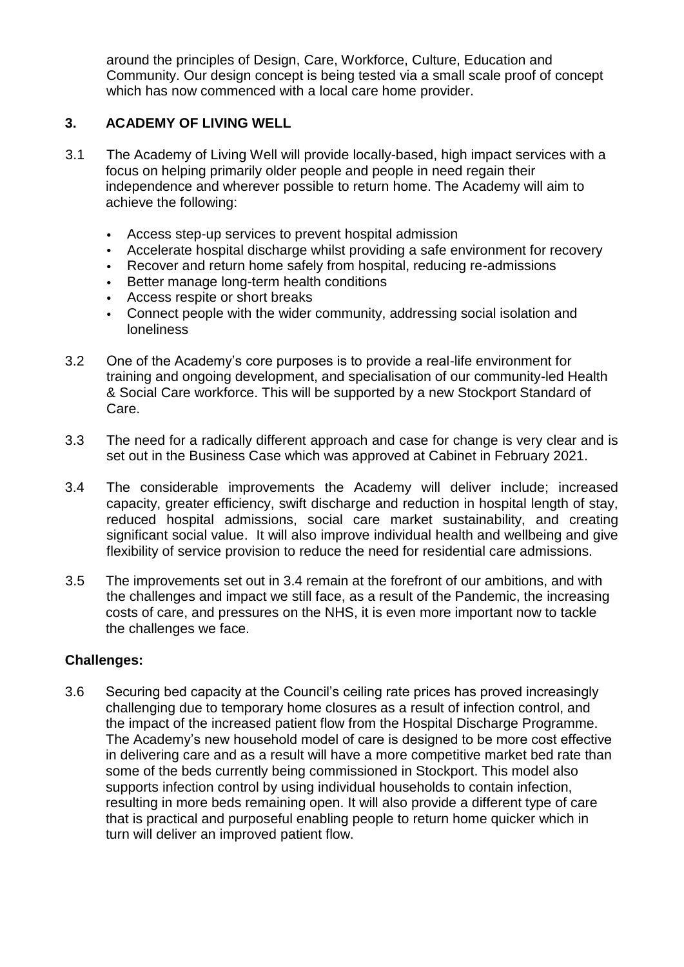around the principles of Design, Care, Workforce, Culture, Education and Community. Our design concept is being tested via a small scale proof of concept which has now commenced with a local care home provider.

#### **3. ACADEMY OF LIVING WELL**

- 3.1 The Academy of Living Well will provide locally-based, high impact services with a focus on helping primarily older people and people in need regain their independence and wherever possible to return home. The Academy will aim to achieve the following:
	- Access step-up services to prevent hospital admission
	- Accelerate hospital discharge whilst providing a safe environment for recovery
	- Recover and return home safely from hospital, reducing re-admissions
	- Better manage long-term health conditions
	- Access respite or short breaks
	- Connect people with the wider community, addressing social isolation and loneliness
- 3.2 One of the Academy's core purposes is to provide a real-life environment for training and ongoing development, and specialisation of our community-led Health & Social Care workforce. This will be supported by a new Stockport Standard of Care.
- 3.3 The need for a radically different approach and case for change is very clear and is set out in the Business Case which was approved at Cabinet in February 2021.
- 3.4 The considerable improvements the Academy will deliver include; increased capacity, greater efficiency, swift discharge and reduction in hospital length of stay, reduced hospital admissions, social care market sustainability, and creating significant social value. It will also improve individual health and wellbeing and give flexibility of service provision to reduce the need for residential care admissions.
- 3.5 The improvements set out in 3.4 remain at the forefront of our ambitions, and with the challenges and impact we still face, as a result of the Pandemic, the increasing costs of care, and pressures on the NHS, it is even more important now to tackle the challenges we face.

#### **Challenges:**

3.6 Securing bed capacity at the Council's ceiling rate prices has proved increasingly challenging due to temporary home closures as a result of infection control, and the impact of the increased patient flow from the Hospital Discharge Programme. The Academy's new household model of care is designed to be more cost effective in delivering care and as a result will have a more competitive market bed rate than some of the beds currently being commissioned in Stockport. This model also supports infection control by using individual households to contain infection, resulting in more beds remaining open. It will also provide a different type of care that is practical and purposeful enabling people to return home quicker which in turn will deliver an improved patient flow.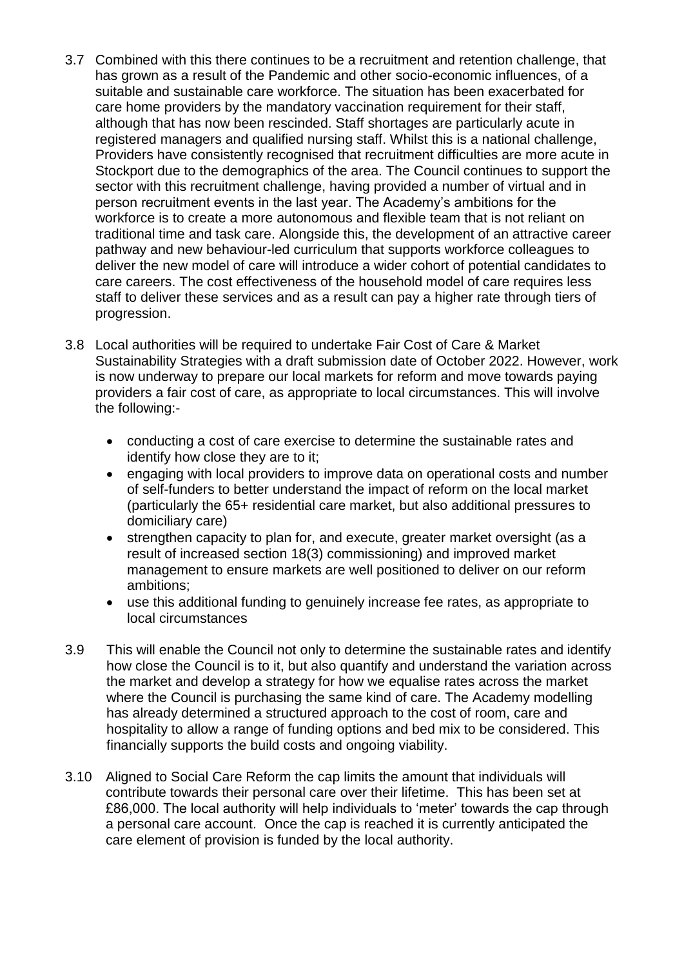- 3.7 Combined with this there continues to be a recruitment and retention challenge, that has grown as a result of the Pandemic and other socio-economic influences, of a suitable and sustainable care workforce. The situation has been exacerbated for care home providers by the mandatory vaccination requirement for their staff, although that has now been rescinded. Staff shortages are particularly acute in registered managers and qualified nursing staff. Whilst this is a national challenge, Providers have consistently recognised that recruitment difficulties are more acute in Stockport due to the demographics of the area. The Council continues to support the sector with this recruitment challenge, having provided a number of virtual and in person recruitment events in the last year. The Academy's ambitions for the workforce is to create a more autonomous and flexible team that is not reliant on traditional time and task care. Alongside this, the development of an attractive career pathway and new behaviour-led curriculum that supports workforce colleagues to deliver the new model of care will introduce a wider cohort of potential candidates to care careers. The cost effectiveness of the household model of care requires less staff to deliver these services and as a result can pay a higher rate through tiers of progression.
- 3.8 Local authorities will be required to undertake Fair Cost of Care & Market Sustainability Strategies with a draft submission date of October 2022. However, work is now underway to prepare our local markets for reform and move towards paying providers a fair cost of care, as appropriate to local circumstances. This will involve the following:
	- conducting a cost of care exercise to determine the sustainable rates and identify how close they are to it;
	- engaging with local providers to improve data on operational costs and number of self-funders to better understand the impact of reform on the local market (particularly the 65+ residential care market, but also additional pressures to domiciliary care)
	- strengthen capacity to plan for, and execute, greater market oversight (as a result of increased section 18(3) commissioning) and improved market management to ensure markets are well positioned to deliver on our reform ambitions;
	- use this additional funding to genuinely increase fee rates, as appropriate to local circumstances
- 3.9 This will enable the Council not only to determine the sustainable rates and identify how close the Council is to it, but also quantify and understand the variation across the market and develop a strategy for how we equalise rates across the market where the Council is purchasing the same kind of care. The Academy modelling has already determined a structured approach to the cost of room, care and hospitality to allow a range of funding options and bed mix to be considered. This financially supports the build costs and ongoing viability.
- 3.10 Aligned to Social Care Reform the cap limits the amount that individuals will contribute towards their personal care over their lifetime. This has been set at £86,000. The local authority will help individuals to 'meter' towards the cap through a personal care account. Once the cap is reached it is currently anticipated the care element of provision is funded by the local authority.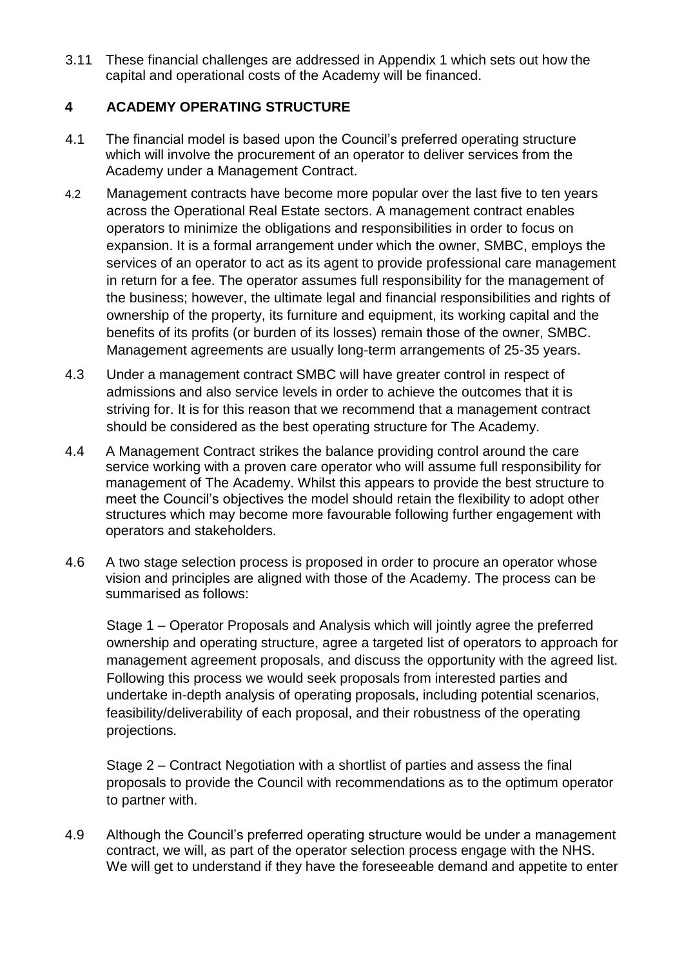3.11 These financial challenges are addressed in Appendix 1 which sets out how the capital and operational costs of the Academy will be financed.

### **4 ACADEMY OPERATING STRUCTURE**

- 4.1 The financial model is based upon the Council's preferred operating structure which will involve the procurement of an operator to deliver services from the Academy under a Management Contract.
- 4.2 Management contracts have become more popular over the last five to ten years across the Operational Real Estate sectors. A management contract enables operators to minimize the obligations and responsibilities in order to focus on expansion. It is a formal arrangement under which the owner, SMBC, employs the services of an operator to act as its agent to provide professional care management in return for a fee. The operator assumes full responsibility for the management of the business; however, the ultimate legal and financial responsibilities and rights of ownership of the property, its furniture and equipment, its working capital and the benefits of its profits (or burden of its losses) remain those of the owner, SMBC. Management agreements are usually long-term arrangements of 25-35 years.
- 4.3 Under a management contract SMBC will have greater control in respect of admissions and also service levels in order to achieve the outcomes that it is striving for. It is for this reason that we recommend that a management contract should be considered as the best operating structure for The Academy.
- 4.4 A Management Contract strikes the balance providing control around the care service working with a proven care operator who will assume full responsibility for management of The Academy. Whilst this appears to provide the best structure to meet the Council's objectives the model should retain the flexibility to adopt other structures which may become more favourable following further engagement with operators and stakeholders.
- 4.6 A two stage selection process is proposed in order to procure an operator whose vision and principles are aligned with those of the Academy. The process can be summarised as follows:

Stage 1 – Operator Proposals and Analysis which will jointly agree the preferred ownership and operating structure, agree a targeted list of operators to approach for management agreement proposals, and discuss the opportunity with the agreed list. Following this process we would seek proposals from interested parties and undertake in-depth analysis of operating proposals, including potential scenarios, feasibility/deliverability of each proposal, and their robustness of the operating projections.

Stage 2 – Contract Negotiation with a shortlist of parties and assess the final proposals to provide the Council with recommendations as to the optimum operator to partner with.

4.9 Although the Council's preferred operating structure would be under a management contract, we will, as part of the operator selection process engage with the NHS. We will get to understand if they have the foreseeable demand and appetite to enter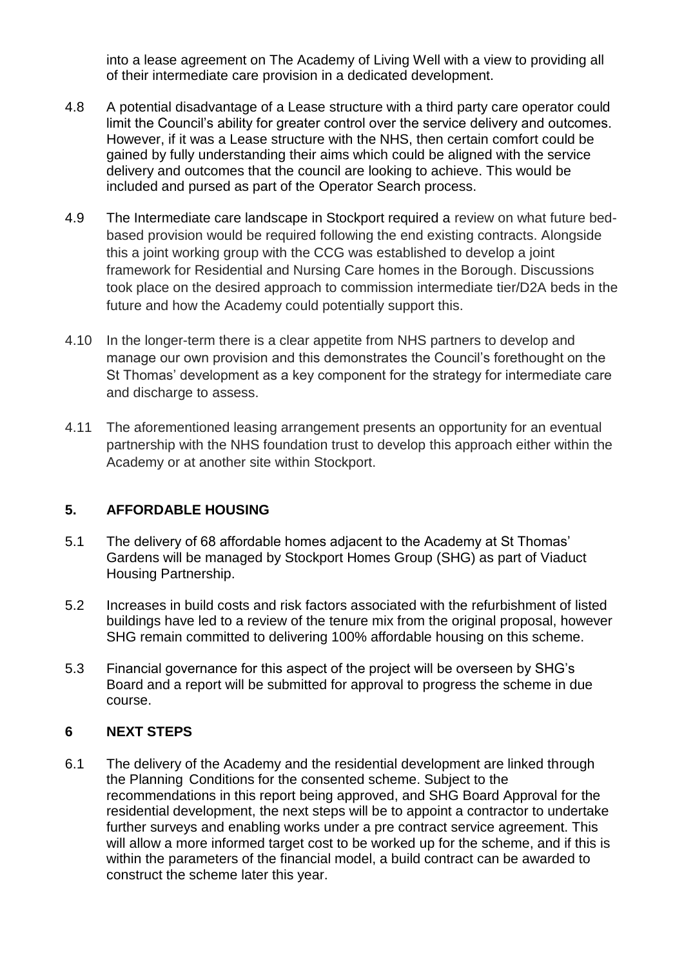into a lease agreement on The Academy of Living Well with a view to providing all of their intermediate care provision in a dedicated development.

- 4.8 A potential disadvantage of a Lease structure with a third party care operator could limit the Council's ability for greater control over the service delivery and outcomes. However, if it was a Lease structure with the NHS, then certain comfort could be gained by fully understanding their aims which could be aligned with the service delivery and outcomes that the council are looking to achieve. This would be included and pursed as part of the Operator Search process.
- 4.9 The Intermediate care landscape in Stockport required a review on what future bedbased provision would be required following the end existing contracts. Alongside this a joint working group with the CCG was established to develop a joint framework for Residential and Nursing Care homes in the Borough. Discussions took place on the desired approach to commission intermediate tier/D2A beds in the future and how the Academy could potentially support this.
- 4.10 In the longer-term there is a clear appetite from NHS partners to develop and manage our own provision and this demonstrates the Council's forethought on the St Thomas' development as a key component for the strategy for intermediate care and discharge to assess.
- 4.11 The aforementioned leasing arrangement presents an opportunity for an eventual partnership with the NHS foundation trust to develop this approach either within the Academy or at another site within Stockport.

### **5. AFFORDABLE HOUSING**

- 5.1 The delivery of 68 affordable homes adjacent to the Academy at St Thomas' Gardens will be managed by Stockport Homes Group (SHG) as part of Viaduct Housing Partnership.
- 5.2 Increases in build costs and risk factors associated with the refurbishment of listed buildings have led to a review of the tenure mix from the original proposal, however SHG remain committed to delivering 100% affordable housing on this scheme.
- 5.3 Financial governance for this aspect of the project will be overseen by SHG's Board and a report will be submitted for approval to progress the scheme in due course.

### **6 NEXT STEPS**

6.1 The delivery of the Academy and the residential development are linked through the Planning Conditions for the consented scheme. Subject to the recommendations in this report being approved, and SHG Board Approval for the residential development, the next steps will be to appoint a contractor to undertake further surveys and enabling works under a pre contract service agreement. This will allow a more informed target cost to be worked up for the scheme, and if this is within the parameters of the financial model, a build contract can be awarded to construct the scheme later this year.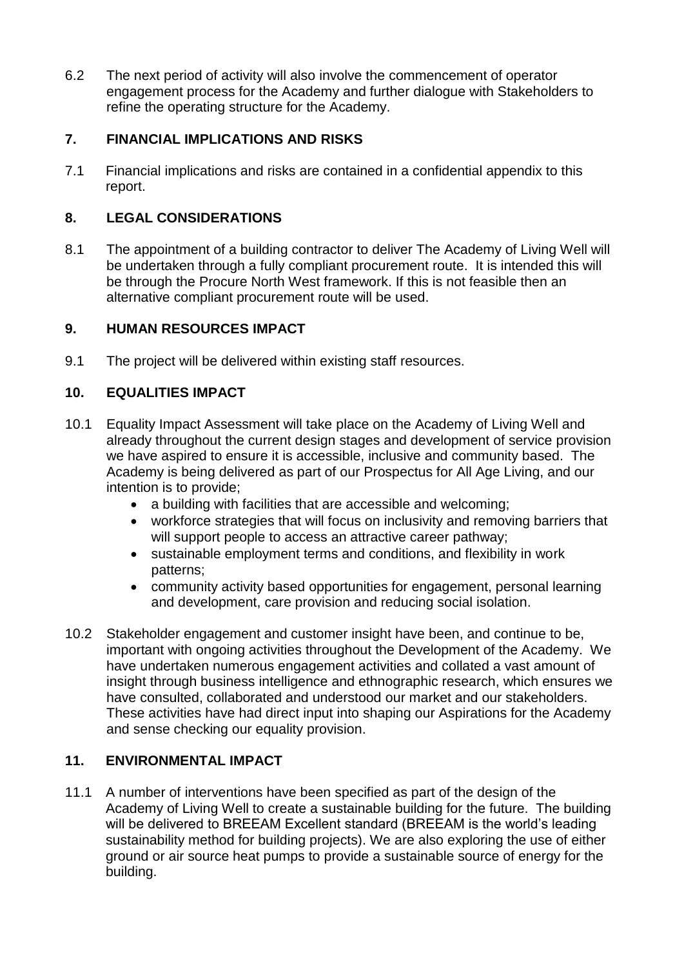6.2 The next period of activity will also involve the commencement of operator engagement process for the Academy and further dialogue with Stakeholders to refine the operating structure for the Academy.

## **7. FINANCIAL IMPLICATIONS AND RISKS**

7.1 Financial implications and risks are contained in a confidential appendix to this report.

# **8. LEGAL CONSIDERATIONS**

8.1 The appointment of a building contractor to deliver The Academy of Living Well will be undertaken through a fully compliant procurement route. It is intended this will be through the Procure North West framework. If this is not feasible then an alternative compliant procurement route will be used.

### **9. HUMAN RESOURCES IMPACT**

9.1 The project will be delivered within existing staff resources.

# **10. EQUALITIES IMPACT**

- 10.1 Equality Impact Assessment will take place on the Academy of Living Well and already throughout the current design stages and development of service provision we have aspired to ensure it is accessible, inclusive and community based. The Academy is being delivered as part of our Prospectus for All Age Living, and our intention is to provide;
	- a building with facilities that are accessible and welcoming;
	- workforce strategies that will focus on inclusivity and removing barriers that will support people to access an attractive career pathway:
	- sustainable employment terms and conditions, and flexibility in work patterns;
	- community activity based opportunities for engagement, personal learning and development, care provision and reducing social isolation.
- 10.2 Stakeholder engagement and customer insight have been, and continue to be, important with ongoing activities throughout the Development of the Academy. We have undertaken numerous engagement activities and collated a vast amount of insight through business intelligence and ethnographic research, which ensures we have consulted, collaborated and understood our market and our stakeholders. These activities have had direct input into shaping our Aspirations for the Academy and sense checking our equality provision.

# **11. ENVIRONMENTAL IMPACT**

11.1 A number of interventions have been specified as part of the design of the Academy of Living Well to create a sustainable building for the future. The building will be delivered to BREEAM Excellent standard (BREEAM is the world's leading sustainability method for building projects). We are also exploring the use of either ground or air source heat pumps to provide a sustainable source of energy for the building.